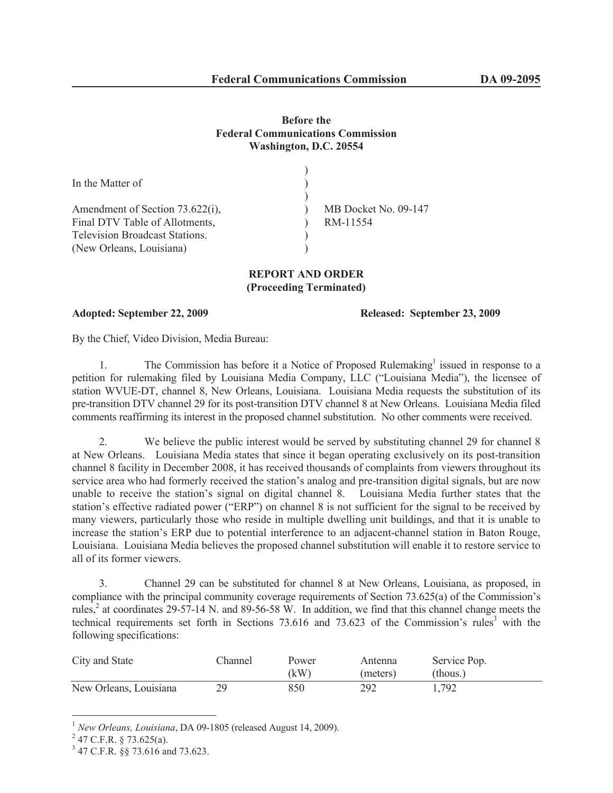## **Before the Federal Communications Commission Washington, D.C. 20554**

| In the Matter of                      |                      |
|---------------------------------------|----------------------|
| Amendment of Section 73.622(i),       | MB Docket No. 09-147 |
| Final DTV Table of Allotments,        | RM-11554             |
| <b>Television Broadcast Stations.</b> |                      |
| (New Orleans, Louisiana)              |                      |

## **REPORT AND ORDER (Proceeding Terminated)**

**Adopted: September 22, 2009 Released: September 23, 2009**

By the Chief, Video Division, Media Bureau:

1. The Commission has before it a Notice of Proposed Rulemaking<sup>1</sup> issued in response to a petition for rulemaking filed by Louisiana Media Company, LLC ("Louisiana Media"), the licensee of station WVUE-DT, channel 8, New Orleans, Louisiana. Louisiana Media requests the substitution of its pre-transition DTV channel 29 for its post-transition DTV channel 8 at New Orleans. Louisiana Media filed comments reaffirming its interest in the proposed channel substitution. No other comments were received.

2. We believe the public interest would be served by substituting channel 29 for channel 8 at New Orleans. Louisiana Media states that since it began operating exclusively on its post-transition channel 8 facility in December 2008, it has received thousands of complaints from viewers throughout its service area who had formerly received the station's analog and pre-transition digital signals, but are now unable to receive the station's signal on digital channel 8. Louisiana Media further states that the station's effective radiated power ("ERP") on channel 8 is not sufficient for the signal to be received by many viewers, particularly those who reside in multiple dwelling unit buildings, and that it is unable to increase the station's ERP due to potential interference to an adjacent-channel station in Baton Rouge, Louisiana. Louisiana Media believes the proposed channel substitution will enable it to restore service to all of its former viewers.

3. Channel 29 can be substituted for channel 8 at New Orleans, Louisiana, as proposed, in compliance with the principal community coverage requirements of Section 73.625(a) of the Commission's rules,<sup>2</sup> at coordinates 29-57-14 N. and 89-56-58 W. In addition, we find that this channel change meets the technical requirements set forth in Sections  $73.616$  and  $73.623$  of the Commission's rules<sup>3</sup> with the following specifications:

| City and State         | . hannel | Power | Antenna  | Service Pop. |
|------------------------|----------|-------|----------|--------------|
|                        |          | (kW)  | (meters) | (thous.)     |
| New Orleans, Louisiana | 29       | 850   | 292      | 1,792        |

<sup>1</sup> *New Orleans, Louisiana*, DA 09-1805 (released August 14, 2009).

 $^{2}$  47 C.F.R. § 73.625(a).

<sup>3</sup> 47 C.F.R. §§ 73.616 and 73.623.